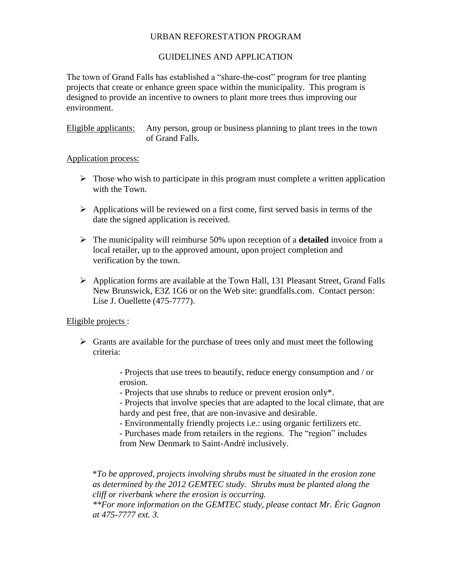### URBAN REFORESTATION PROGRAM

## GUIDELINES AND APPLICATION

The town of Grand Falls has established a "share-the-cost" program for tree planting projects that create or enhance green space within the municipality. This program is designed to provide an incentive to owners to plant more trees thus improving our environment.

Eligible applicants: Any person, group or business planning to plant trees in the town of Grand Falls.

#### Application process:

- $\triangleright$  Those who wish to participate in this program must complete a written application with the Town.
- $\triangleright$  Applications will be reviewed on a first come, first served basis in terms of the date the signed application is received.
- The municipality will reimburse 50% upon reception of a **detailed** invoice from a local retailer, up to the approved amount, upon project completion and verification by the town.
- Application forms are available at the Town Hall, 131 Pleasant Street, Grand Falls New Brunswick, E3Z 1G6 or on the Web site: grandfalls.com. Contact person: Lise J. Ouellette (475-7777).

#### Eligible projects :

 $\triangleright$  Grants are available for the purchase of trees only and must meet the following criteria:

> - Projects that use trees to beautify, reduce energy consumption and / or erosion.

- Projects that use shrubs to reduce or prevent erosion only\*.

- Projects that involve species that are adapted to the local climate, that are hardy and pest free, that are non-invasive and desirable.

- Environmentally friendly projects i.e.: using organic fertilizers etc.

- Purchases made from retailers in the regions. The "region" includes from New Denmark to Saint-André inclusively.

\**To be approved, projects involving shrubs must be situated in the erosion zone as determined by the 2012 GEMTEC study. Shrubs must be planted along the cliff or riverbank where the erosion is occurring.*

*\*\*For more information on the GEMTEC study, please contact Mr. Éric Gagnon at 475-7777 ext. 3.*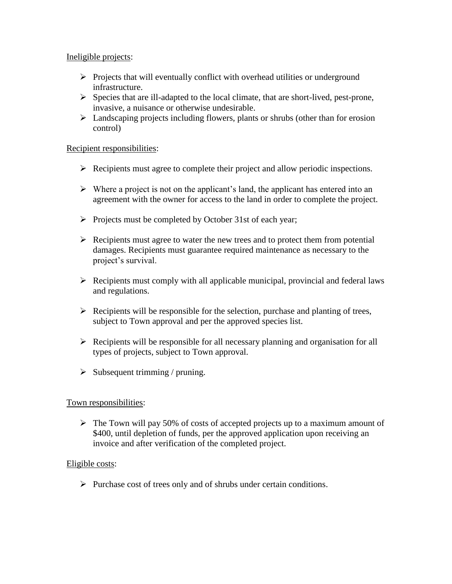### Ineligible projects:

- $\triangleright$  Projects that will eventually conflict with overhead utilities or underground infrastructure.
- $\triangleright$  Species that are ill-adapted to the local climate, that are short-lived, pest-prone, invasive, a nuisance or otherwise undesirable.
- $\triangleright$  Landscaping projects including flowers, plants or shrubs (other than for erosion control)

### Recipient responsibilities:

- Recipients must agree to complete their project and allow periodic inspections.
- $\triangleright$  Where a project is not on the applicant's land, the applicant has entered into an agreement with the owner for access to the land in order to complete the project.
- $\triangleright$  Projects must be completed by October 31st of each year;
- $\triangleright$  Recipients must agree to water the new trees and to protect them from potential damages. Recipients must guarantee required maintenance as necessary to the project's survival.
- $\triangleright$  Recipients must comply with all applicable municipal, provincial and federal laws and regulations.
- $\triangleright$  Recipients will be responsible for the selection, purchase and planting of trees, subject to Town approval and per the approved species list.
- $\triangleright$  Recipients will be responsible for all necessary planning and organisation for all types of projects, subject to Town approval.
- $\triangleright$  Subsequent trimming / pruning.

## Town responsibilities:

 $\triangleright$  The Town will pay 50% of costs of accepted projects up to a maximum amount of \$400, until depletion of funds, per the approved application upon receiving an invoice and after verification of the completed project.

## Eligible costs:

 $\triangleright$  Purchase cost of trees only and of shrubs under certain conditions.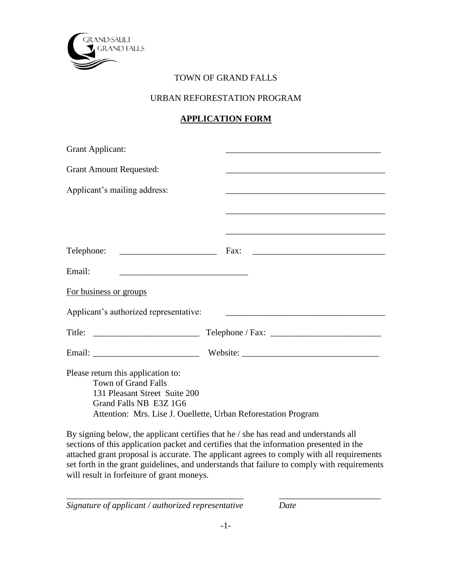

# TOWN OF GRAND FALLS

# URBAN REFORESTATION PROGRAM

# **APPLICATION FORM**

| <b>Grant Applicant:</b>                                                                                                     |                                                                |
|-----------------------------------------------------------------------------------------------------------------------------|----------------------------------------------------------------|
| <b>Grant Amount Requested:</b>                                                                                              | <u> 1989 - Johann Barbara, martxa alemaniar arg</u>            |
| Applicant's mailing address:                                                                                                |                                                                |
|                                                                                                                             |                                                                |
|                                                                                                                             |                                                                |
| Telephone:                                                                                                                  |                                                                |
| Email:                                                                                                                      |                                                                |
| For business or groups                                                                                                      |                                                                |
| Applicant's authorized representative:                                                                                      |                                                                |
|                                                                                                                             |                                                                |
|                                                                                                                             |                                                                |
| Please return this application to:<br><b>Town of Grand Falls</b><br>131 Pleasant Street Suite 200<br>Grand Falls NB E3Z 1G6 | Attention: Mrs. Lise J. Ouellette, Urban Reforestation Program |

By signing below, the applicant certifies that he / she has read and understands all sections of this application packet and certifies that the information presented in the attached grant proposal is accurate. The applicant agrees to comply with all requirements set forth in the grant guidelines, and understands that failure to comply with requirements will result in forfeiture of grant moneys.

*Signature of applicant / authorized representative Date*

\_\_\_\_\_\_\_\_\_\_\_\_\_\_\_\_\_\_\_\_\_\_\_\_\_\_\_\_\_\_\_\_\_\_\_\_\_\_\_\_ \_\_\_\_\_\_\_\_\_\_\_\_\_\_\_\_\_\_\_\_\_\_\_